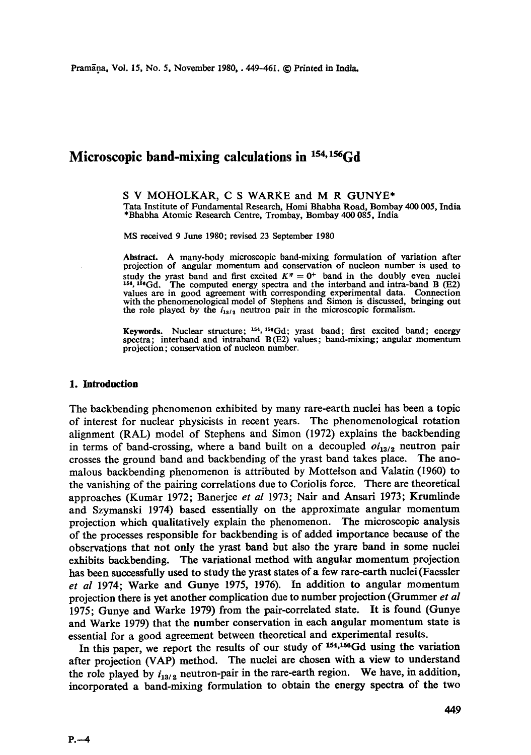# **Microscopic band-mixing calculations in <sup>154, 156</sup>Gd**

S V MOHOLKAR, C S WARKE and M R GUNYE\* Tata Institute of Fundamental Research, Homi Bhabha Road, Bombay 400 005, India \*Bhabha Atomic Research Centre, Trombay, Bombay 400 085, India

MS received 9 June 1980; revised 23 September 1980

Abstract. A many-body microscopic band-mixing formulation of variation after projection of angular momentum and conservation of nucleon number is used to study the yrast band and first excited  $K^{\pi} = 0^{+}$  band in the doubly even nuclei 154, 156Gd. The computed energy spectra and the interband and intra-band B (E2) values are in good agreement with corresponding experimental data. Connection with the phenomenological model of Stephens and Simon is discussed, bringing out the role played by the  $i_{13/2}$  neutron pair in the microscopic formalism.

**Keywords.** Nuclear structure; <sup>164</sup>, <sup>154</sup>Gd; yrast band; first excited band; energy spectra; interband and intraband B (E2) values; band-mixing; angular momentum projection; conservation of nucleon number.

#### **1. Introduction**

The backbending phenomenon exhibited by many rare-earth nuclei has been a topic of interest for nuclear physicists in recent years. The phenomenological rotation alignment (RAL) model of Stephens and Simon (1972) explains the backbending in terms of band-crossing, where a band built on a decoupled  $oi_{13/2}$  neutron pair crosses the ground band and backbending of the yrast band takes place. The anomalous backbending phenomenon is attributed by Mottelson and Valatin (1960) to the vanishing of the pairing correlations due to Coriolis force. There are theoretical approaches (Kumar 1972; Banerjee *et al* 1973; Nair and Ansari 1973; Krumlinde and Szymanski 1974) based essentially on the approximate angular momentum projection which qualitatively explain the phenomenon. The microscopic analysis of the processes responsible for backbending is of added importance because of the observations that not only the yrast band but also the yrare band in some nuclei exhibits backbending. The variational method with angular momentum projection has been successfully used to study the yrast states of a few rare-earth nuclei (Faessler *et al* 1974; Warke and Gunye 1975, 1976). In addition to angular momentum projection there is yet another complication due to number projection (Grummer *et al*  1975; Gunye and Warke 1979) from the pair-correlated state. It is found (Gunye and Warke 1979) that the number conservation in each angular momentum state is essential for a good agreement between theoretical and experimental results.

In this paper, we report the results of our study of  $154,156$  Gd using the variation after projection (VAP) method. The nuclei are chosen with a view to understand the role played by  $i_{13/2}$  neutron-pair in the rare-earth region. We have, in addition, incorporated a band-mixing formulation to obtain the energy spectra of the two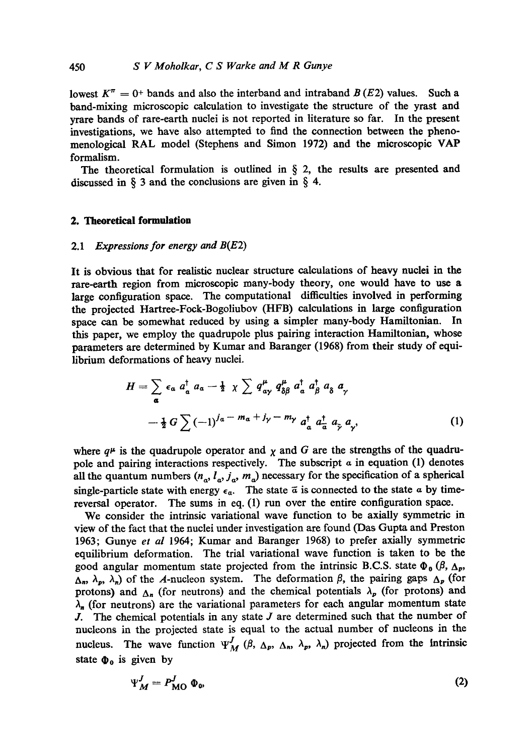lowest  $K^{\pi} = 0^{+}$  bands and also the interband and intraband  $B(E2)$  values. Such a band-mixing microscopic calculation to investigate the structure of the yrast and yrare bands of rare-earth nuclei is not reported in literature so far. In the present investigations, we have also attempted to find the connection between the phenomenological RAL model (Stephens and Simon 1972) and the microscopic VAP formalism.

The theoretical formulation is outlined in  $\S$  2, the results are presented and discussed in  $\S$  3 and the conclusions are given in  $\S$  4.

#### **2. Theoretical formulation**

#### 2.1 *Expressions for energy and* B(E2)

It is obvious that for realistic nuclear structure calculations of heavy nuclei in the rare-earth region from microscopic many-body theory, one would have to use a large configuration space. The computational difficulties involved in performing the projected Hartree-Fock-Bogoliubov (HFB) calculations in large configuration space can be somewhat reduced by using a simpler many-body Hamiltonian. In this paper, we employ the quadrupole plus pairing interaction Hamiltonian, whose parameters are determined by Kumar and Baranger (1968) from their study of equilibrium deformations of heavy nuclei.

$$
H = \sum_{\alpha} \epsilon_{\alpha} a_{\alpha}^{\dagger} a_{\alpha} - \frac{1}{2} \chi \sum q_{\alpha\gamma}^{\mu} q_{\delta\beta}^{\mu} a_{\alpha}^{\dagger} a_{\beta}^{\dagger} a_{\delta} \alpha_{\gamma}
$$
  

$$
- \frac{1}{2} G \sum (-1)^{j_{\alpha} - m_{\alpha} + j_{\gamma} - m_{\gamma}} a_{\alpha}^{\dagger} a_{\alpha}^{\dagger} a_{\gamma} a_{\gamma}, \qquad (1)
$$

where  $q^{\mu}$  is the quadrupole operator and  $\chi$  and G are the strengths of the quadrupole and pairing interactions respectively. The subscript  $\alpha$  in equation (1) denotes all the quantum numbers  $(n_a, l_a, j_a, m_a)$  necessary for the specification of a spherical single-particle state with energy  $\epsilon_{\alpha}$ . The state  $\bar{\alpha}$  is connected to the state  $\alpha$  by timereversal operator. The sums in eq. (1) run over the entire configuration space.

We consider the intrinsic variational wave function to be axially symmetric in view of the fact that the nuclei under investigation are found (Das Gupta and Preston 1963; Gunye *et al* 1964; Kumar and Baranger 1968) to prefer axially symmetric equilibrium deformation. The trial variational wave function is taken to be the good angular momentum state projected from the intrinsic B.C.S. state  $\Phi_0$  ( $\beta$ ,  $\Delta_p$ ,  $(\Delta_n, \lambda_p, \lambda_n)$  of the A-nucleon system. The deformation  $\beta$ , the pairing gaps  $\Delta_p$  (for protons) and  $\Delta_n$  (for neutrons) and the chemical potentials  $\lambda_p$  (for protons) and  $\lambda_n$  (for neutrons) are the variational parameters for each angular momentum state J. The chemical potentials in any state  $J$  are determined such that the number of nucleons in the projected state is equal to the actual number of nucleons in the nucleus. The wave function  $\Psi_M^J$  ( $\beta$ ,  $\Delta_p$ ,  $\Delta_n$ ,  $\lambda_p$ ,  $\lambda_n$ ) projected from the intrinsic state  $\Phi_0$  is given by

$$
\Psi_M^J = P_{\text{MO}}^J \ \Phi_{\omega} \tag{2}
$$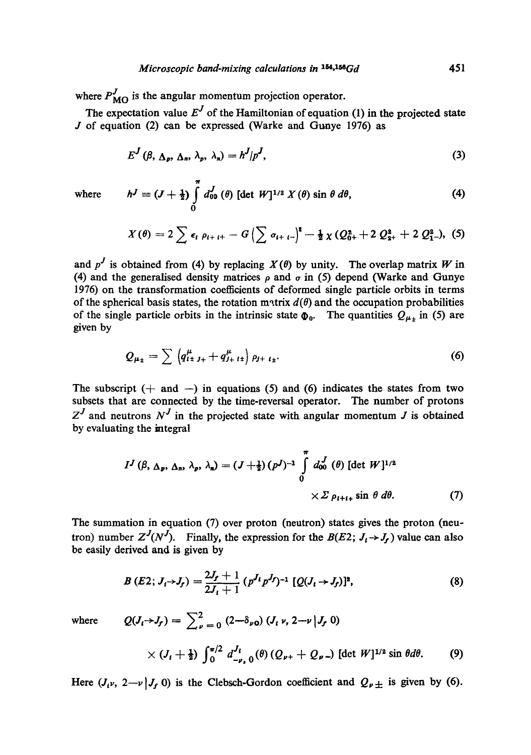where  $P_{\text{MO}}^{J}$  is the angular momentum projection operator.

The expectation value  $E^J$  of the Hamiltonian of equation (1) in the projected state  $J$  of equation (2) can be expressed (Warke and Gunye 1976) as

$$
E^{J}(\beta, \Delta_{p}, \Delta_{n}, \lambda_{p}, \lambda_{n}) = h^{J} | p^{J}, \qquad (3)
$$

where 
$$
h^J \equiv (J + \frac{1}{2}) \int_0^{\pi} d_{00}^J(\theta) \left[ \det W \right]^{1/2} X(\theta) \sin \theta \, d\theta, \tag{4}
$$

$$
X(\theta) = 2 \sum \epsilon_i \rho_{i+i+} - G \left( \sum \sigma_{i+i-} \right)^2 - \frac{1}{2} \chi \left( Q_{0+}^2 + 2 Q_{2+}^2 + 2 Q_{1-}^2 \right), \quad (5)
$$

and  $p^J$  is obtained from (4) by replacing  $X(\theta)$  by unity. The overlap matrix W in (4) and the generalised density matrices  $\rho$  and  $\sigma$  in (5) depend (Warke and Gunye 1976) on the transformation coefficients of deformed single particle orbits in terms of the spherical basis states, the rotation matrix  $d(\theta)$  and the occupation probabilities of the single particle orbits in the intrinsic state  $\Phi_0$ . The quantities  $Q_{\mu_{\pm}}$  in (5) are given by

$$
Q_{\mu_{\pm}} = \sum \left( q_{i \pm j_{+}}^{\mu} + q_{j_{+} i \pm}^{\mu} \right) \rho_{j + i_{\pm}}.
$$
 (6)

The subscript  $(+$  and  $-)$  in equations (5) and (6) indicates the states from two subsets that are connected by the time-reversal operator. The number of protons  $Z<sup>J</sup>$  and neutrons  $N<sup>J</sup>$  in the projected state with angular momentum J is obtained by evaluating the integral

$$
I^{J}(\beta, \Delta_{p}, \Delta_{n}, \lambda_{p}, \lambda_{n}) = (J + \frac{1}{2})(p^{J})^{-1} \int_{0}^{\pi} d_{00}^{J}(\theta) [\det W]^{1/2}
$$
  
 
$$
\times \Sigma \rho_{t+t+} \sin \theta d\theta.
$$
 (7)

The summation in equation (7) over proton (neutron) states gives the proton (neutron) number  $Z^J(N^J)$ . Finally, the expression for the  $B(E2; J_i \rightarrow J_f)$  value can also be easily derived and is given by

$$
B(E2; J_i \rightarrow J_f) = \frac{2J_f + 1}{2J_i + 1} (p^{J_i} p^{J_f})^{-1} [Q(J_i \rightarrow J_f)]^2,
$$
 (8)

where 
$$
Q(J_t \rightarrow J_f) = \sum_{\nu=0}^{2} (2-\delta_{\nu 0}) (J_t \nu, 2-\nu | J_f 0)
$$

$$
\times (J_t + \tfrac{1}{2}) \int_0^{\pi/2} d_{-\nu, 0}^{J_t}(\theta) (Q_{\nu+} + Q_{\nu-}) [\det W]^{1/2} \sin \theta d\theta. \qquad (9)
$$

Here  $(J_i\nu, 2-\nu|J_f\,0)$  is the Clebsch-Gordon coefficient and  $Q_{\nu\pm}$  is given by (6).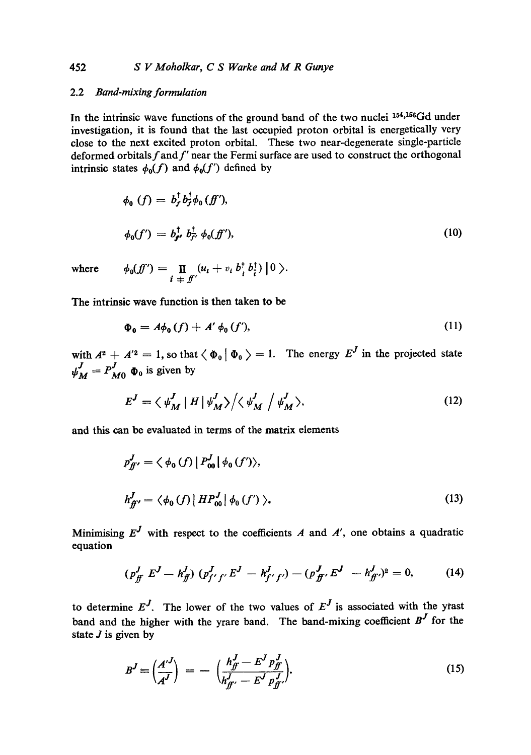## 452 *S V Moholkar, C S Warke and M R Gunye*

## 2.2 *Band-mixing formulation*

In the intrinsic wave functions of the ground band of the two nuclei  $154,156$ Gd under investigation, it is found that the last occupied proton orbital is energetically very close to the next excited proton orbital. These two near-degenerate single-particle deformed orbitals  $f$  and  $f'$  near the Fermi surface are used to construct the orthogonal intrinsic states  $\phi_0(f)$  and  $\phi_0(f')$  defined by

$$
\phi_0(f) = b_f^{\dagger} b_f^{\dagger} \phi_0(f'),
$$
  

$$
\phi_0(f') = b_{f'}^{\dagger} b_{f'}^{\dagger} \phi_0(f'),
$$
 (10)

where 
$$
\phi_0(f') = \prod_{i \atop \pm \pm \pm \pm} (u_i + v_i b_i^{\dagger} b_i^{\dagger}) \Big| 0 \Big\rangle.
$$

The intrinsic wave function is then taken to be

$$
\Phi_{\mathbf{0}} = A\phi_{\mathbf{0}}(f) + A'\phi_{\mathbf{0}}(f'),\tag{11}
$$

with  $A^2 + A'^2 = 1$ , so that  $\langle \Phi_0 | \Phi_0 \rangle = 1$ . The energy  $E^J$  in the projected state  $\psi_M^J = P_{M0}^J \Phi_0$  is given by

$$
E^{J} = \langle \psi^{J}_{M} | H | \psi^{J}_{M} \rangle / \langle \psi^{J}_{M} | \psi^{J}_{M} \rangle, \tag{12}
$$

and this can be evaluated in terms of the matrix elements

$$
p_{ff'}^J = \langle \phi_0(f) | P_{00}^J | \phi_0(f') \rangle,
$$
  

$$
h_{ff'}^J = \langle \phi_0(f) | HP_{00}^J | \phi_0(f') \rangle.
$$
 (13)

Minimising  $E^J$  with respect to the coefficients A and A', one obtains a quadratic equation

$$
(p_{ff}^J \ E^J - h_{ff}^J) \ (p_{f'f'}^J \ E^J - h_{f'f'}^J) - (p_{ff'}^J \ E^J - h_{ff'}^J)^2 = 0, \tag{14}
$$

to determine  $E^J$ . The lower of the two values of  $E^J$  is associated with the ytast band and the higher with the yrare band. The band-mixing coefficient  $B<sup>J</sup>$  for the state  $J$  is given by

$$
B^{J} \equiv \left(\frac{A^{\prime J}}{A^{J}}\right) = -\left(\frac{h_{f}^{J} - E^{J} p_{f}^{J}}{h_{f'}^{J} - E^{J} p_{f'}^{J}}\right).
$$
\n(15)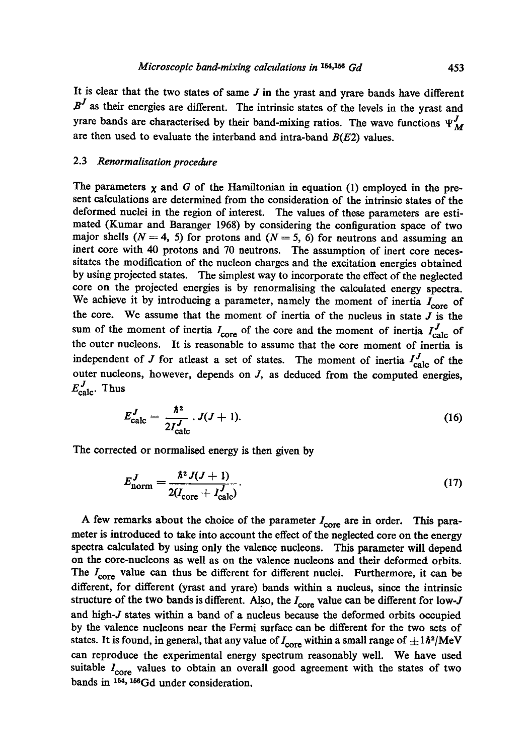It is clear that the two states of same  $J$  in the yrast and yrare bands have different  $B<sup>J</sup>$  as their energies are different. The intrinsic states of the levels in the yrast and yrare bands are characterised by their band-mixing ratios. The wave functions  $\Psi_{\mathcal{M}}^J$ are then used to evaluate the interband and intra-band  $B(E2)$  values.

#### 2.3 *Renormalisation procedure*

The parameters  $\chi$  and G of the Hamiltonian in equation (1) employed in the present calculations are determined from the consideration of the intrinsic states of the deformed nuclei in the region of interest. The values of these parameters are estimated (Kumar and Baranger 1968) by considering the configuration space of two major shells ( $N = 4$ , 5) for protons and ( $N = 5$ , 6) for neutrons and assuming an inert core with 40 protons and 70 neutrons. The assumption of inert core necessitates the modification of the nucleon charges and the excitation energies obtained by using projected states. The simplest way to incorporate the effect of the neglected core on the projected energies is by renormalising the calculated energy spectra. We achieve it by introducing a parameter, namely the moment of inertia  $I_{core}$  of the core. We assume that the moment of inertia of the nucleus in state  $J$  is the sum of the moment of inertia  $I_{\text{core}}$  of the core and the moment of inertia  $I_{\text{calc}}^J$  of the outer nucleons. It is reasonable to assume that the core moment of inertia is independent of J for atleast a set of states. The moment of inertia  $I_{\text{calc}}^J$  of the outer nucleons, however, depends on  $J$ , as deduced from the computed energies,  $E_{\text{calc}}^J$ . Thus

$$
E_{\text{calc}}^J = \frac{\hbar^2}{2I_{\text{calc}}^J} \cdot J(J+1). \tag{16}
$$

The corrected or normalised energy is then given by

$$
E_{\text{norm}}^{J} = \frac{\hbar^2 J(J+1)}{2(I_{\text{core}} + I_{\text{calc}}^{J})}.
$$
 (17)

A few remarks about the choice of the parameter  $I_{\text{core}}$  are in order. This parameter is introduced to take into account the effect of the neglected core on the energy spectra calculated by using only the valence nucleons. This parameter will depend on the core-nucleons as well as on the valence nucleons and their deformed orbits. The  $I_{\text{core}}$  value can thus be different for different nuclei. Furthermore, it can be different, for different (yrast and yrare) bands within a nucleus, since the intrinsic structure of the two bands is different. Also, the  $I_{core}$  value can be different for low- $J$ and high-J states within a band of a nucleus because the deformed orbits occupied by the valence nucleons near the Fermi surface can be different for the two sets of states. It is found, in general, that any value of  $I_{\rm core}$  within a small range of  $\pm 1\hbar^2/\rm{MeV}$ can reproduce the experimental energy spectrum reasonably well. We have used suitable  $I_{\text{core}}$  values to obtain an overall good agreement with the states of two bands in 154,156Gd under consideration,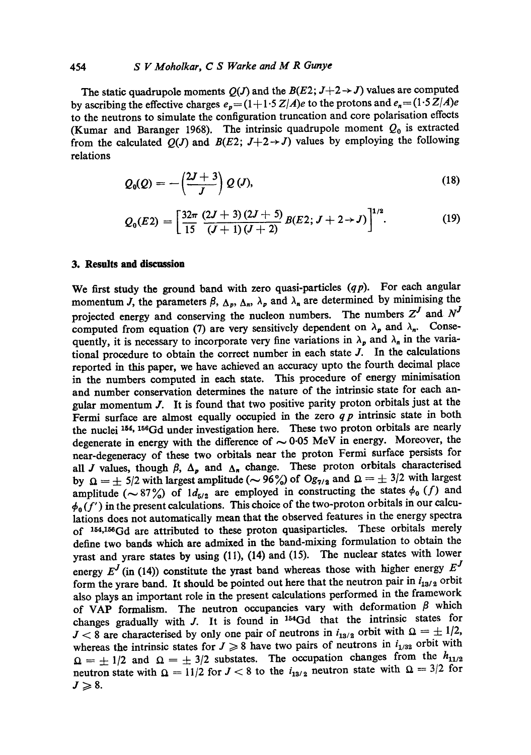#### 454 *S V Moholkar, C S Warke and M R Gunye*

The static quadrupole moments  $Q(J)$  and the  $B(E2; J+2 \rightarrow J)$  values are computed by ascribing the effective charges  $e_p = (1 + 1.5 Z/A)e$  to the protons and  $e_n = (1.5 Z/A)e$ to the neutrons to simulate the configuration truncation and core polarisation effects (Kumar and Baranger 1968). The intrinsic quadrupole moment  $Q_0$  is extracted from the calculated  $Q(J)$  and  $B(E2; J+2 \rightarrow J)$  values by employing the following relations

$$
Q_0(Q) = -\left(\frac{2J+3}{J}\right) Q\left(J\right),\tag{18}
$$

$$
Q_0(E2) = \left[\frac{32\pi}{15}\frac{(2J+3)(2J+5)}{(J+1)(J+2)}B(E2; J+2\rightarrow J)\right]^{1/2}.
$$
 (19)

#### **3. Results and discussion**

We first study the ground band with zero quasi-particles *(qp).* For each angular momentum J, the parameters  $\beta$ ,  $\Delta_p$ ,  $\Delta_n$ ,  $\lambda_p$  and  $\lambda_n$  are determined by minimising the projected energy and conserving the nucleon numbers. The numbers  $Z^J$  and  $N^J$ computed from equation (7) are very sensitively dependent on  $\lambda_p$  and  $\lambda_n$ . Consequently, it is necessary to incorporate very fine variations in  $\lambda_p$  and  $\lambda_n$  in the variational procedure to obtain the correct number in each state  $J$ . In the calculations reported in this paper, we have achieved an accuracy upto the fourth decimal place in the numbers computed in each state. This procedure of energy minimisation and number conservation determines the nature of the intrinsic state for each angular momentum J. It is found that two positive parity proton orbitals just at the Fermi surface are almost equally occupied in the zero *q p* intrinsic state in both the nuclei 154, 156Gd under investigation here. These two proton orbitals are nearly degenerate in energy with the difference of  $\sim 0.05$  MeV in energy. Moreover, the near-degeneracy of these two orbitals near the proton Fermi surface persists for all J values, though  $\beta$ ,  $\Delta_p$  and  $\Delta_n$  change. These proton orbitals characterised by  $\Omega = \pm 5/2$  with largest amplitude ( $\sim$  96%) of *Og<sub>7/2</sub>* and  $\Omega = \pm 3/2$  with largest amplitude ( $\sim 87\%$ ) of  $1d_{5/2}$  are employed in constructing the states  $\phi_0$  (f) and  $\phi_0(f')$  in the present calculations. This choice of the two-proton orbitals in our calculations does not automatically mean that the observed features in the energy spectra of <sup>154,156</sup>Gd are attributed to these proton quasiparticles. These orbitals merely define two bands which are admixed in the band-mixing formulation to obtain the yrast and yrare states by using (11), (14) and (15). The nuclear states with lower energy  $E^J$  (in (14)) constitute the yrast band whereas those with higher energy  $E^J$ form the yrare band. It should be pointed out here that the neutron pair in  $i_{13/2}$  orbit also plays an important role in the present calculations performed in the framework of VAP formalism. The neutron occupancies vary with deformation  $\beta$  which changes gradually with  $J$ . It is found in  $154Gd$  that the intrinsic states for  $J < 8$  are characterised by only one pair of neutrons in  $i_{13/2}$  orbit with  $\Omega = \pm 1/2$ , whereas the intrinsic states for  $J \ge 8$  have two pairs of neutrons in  $i_{1/32}$  orbit with  $\Omega = \pm 1/2$  and  $\Omega = \pm 3/2$  substates. The occupation changes from the  $h_{11/2}$ neutron state with  $\Omega = 11/2$  for  $J < 8$  to the  $i_{13/2}$  neutron state with  $\Omega = 3/2$  for  $J\geqslant 8.$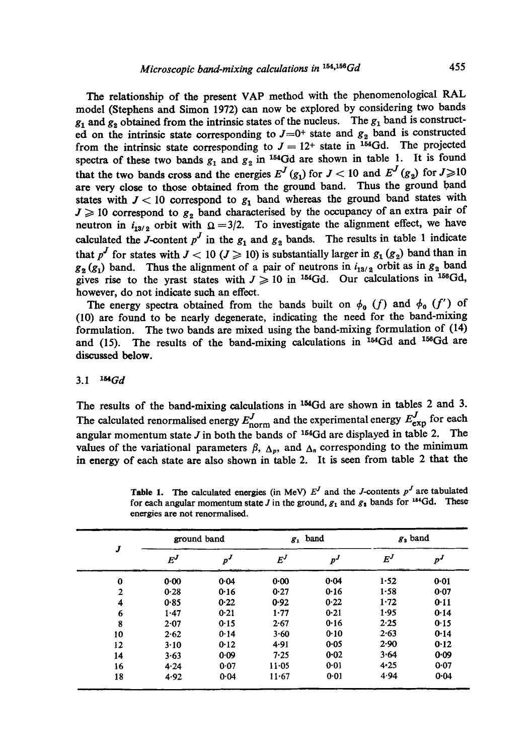The relationship of the present VAP method with the phenomenological RAL model (Stephens and Simon 1972) can now be explored by considering two bands  $g_1$  and  $g_2$  obtained from the intrinsic states of the nucleus. The  $g_1$  band is constructed on the intrinsic state corresponding to  $J=0^+$  state and  $g_2$  band is constructed from the intrinsic state corresponding to  $J = 12^{+}$  state in <sup>154</sup>Gd. The projected spectra of these two bands  $g_1$  and  $g_2$  in <sup>154</sup>Gd are shown in table 1. It is found that the two bands cross and the energies  $E^{J}(g_1)$  for  $J < 10$  and  $E^{J}(g_2)$  for  $J \geq 10$ are very close to those obtained from the ground band. Thus the ground band states with  $J < 10$  correspond to  $g_1$  band whereas the ground band states with  $J \geqslant 10$  correspond to  $g<sub>2</sub>$  band characterised by the occupancy of an extra pair of neutron in  $i_{13/2}$  orbit with  $\Omega = 3/2$ . To investigate the alignment effect, we have calculated the J-content  $p^J$  in the  $g_1$  and  $g_2$  bands. The results in table 1 indicate that  $p^J$  for states with  $J < 10$  ( $J \ge 10$ ) is substantially larger in  $g_1$  ( $g_2$ ) band than in  $g_2^{\prime}$  ( $g_1$ ) band. Thus the alignment of a pair of neutrons in  $i_{13/2}$  orbit as in  $g_2$  band gives rise to the yrast states with  $J \ge 10$  in <sup>154</sup>Gd. Our calculations in <sup>156</sup>Gd, however, do not indicate such an effect.

The energy spectra obtained from the bands built on  $\phi_0$  (f) and  $\phi_0$  (f') of (10) are found to be nearly degenerate, indicating the need for the band-mixing formulation. The two bands are mixed using the band-mixing formulation of (14) and (15). The results of the band-mixing calculations in  $154Gd$  and  $156Gd$  are discussed below.

### *3.1 laGd*

The results of the band-mixing calculations in <sup>154</sup>Gd are shown in tables 2 and 3. The calculated renormalised energy  $E_{\text{norm}}$  and the experimental energy  $E_{\text{exp}}$  for each angular momentum state J in both the bands of  $^{154}Gd$  are displayed in table 2. The values of the variational parameters  $\beta$ ,  $\Delta_p$ , and  $\Delta_n$  corresponding to the minimum in energy of each state are also shown in table 2. It is seen from table 2 that the

|                         | ground band |          | $g_1$ band        |          | $g_2$ band |       |
|-------------------------|-------------|----------|-------------------|----------|------------|-------|
| J                       | $E^J$       | $p^{J}$  | $\bm{E}^{\bm{J}}$ | $p^J$    | $E^J$      | $p^J$ |
| $\bf{0}$                | $0 - 00$    | 0.04     | 0.00              | 0.04     | 1.52       | 0.01  |
| $\overline{2}$          | 0.28        | 0.16     | 0.27              | $0 - 16$ | 1.58       | 0.07  |
| $\overline{\mathbf{4}}$ | 0.85        | 0.22     | 0.92              | 0.22     | 1.72       | 0.11  |
| 6                       | 1.47        | 0.21     | 1.77              | 0.21     | $1 - 95$   | 0.14  |
| 8                       | $2 - 07$    | 0.15     | 2.67              | 0.16     | 2.25       | 0.15  |
| 10                      | 2.62        | 0.14     | 3.60              | 0.10     | 2.63       | 0.14  |
| 12                      | $3-10$      | $0 - 12$ | 4.91              | 0.05     | 2.90       | 0.12  |
| 14                      | 3.63        | 0.09     | 7.25              | 0.02     | 3.64       | 0.09  |
| 16                      | 4.24        | 0.07     | $11 - 05$         | $0 - 01$ | 4.25       | 0.07  |
| 18                      | 4.92        | 0.04     | $11 - 67$         | 0.01     | 4.94       | 0.04  |

Table 1. The calculated energies (in MeV)  $E^J$  and the J-contents  $p^J$  are tabulated for each angular momentum state J in the ground,  $g_1$  and  $g_2$  bands for <sup>164</sup>Gd. These energies are not renormalised.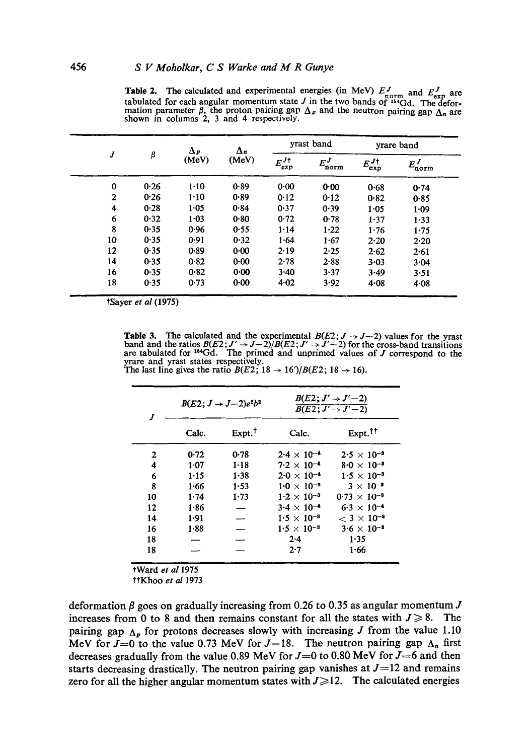| J              |      | $\Delta p$<br>(MeV) | $\Delta_n$<br>(MeV) | yrast band               |                | yrare band               |                    |
|----------------|------|---------------------|---------------------|--------------------------|----------------|--------------------------|--------------------|
|                | β    |                     |                     | $E^{J\dagger}_{\rm exp}$ | $E^J$<br>'norm | $E_{\rm exp}^{J\dagger}$ | $E^{J}_{\rm norm}$ |
| $\bf{0}$       | 0.26 | $1-10$              | 0.89                | 0.00                     | 0.00           | 0.68                     | 0.74               |
| $\overline{2}$ | 0.26 | $1 - 10$            | 0.89                | 0.12                     | 0.12           | 0.82                     | 0.85               |
| 4              | 0.28 | 1.05                | 0.84                | 0.37                     | 0.39           | 1.05                     | 1.09               |
| 6              | 0.32 | 1.03                | 0.80                | 0.72                     | 0.78           | 1.37                     | 1.33               |
| 8              | 0.35 | 0.96                | 0.55                | 1.14                     | 1.22           | 1.76                     | 1.75               |
| 10             | 0.35 | 0.91                | 0.32                | 1.64                     | 1.67           | $2 - 20$                 | 2.20               |
| 12             | 0.35 | 0.89                | 0.00                | 2.19                     | 2.25           | 2.62                     | 2.61               |
| 14             | 0.35 | 0.82                | 0.00                | 2.78                     | 2.88           | $3 - 03$                 | 3.04               |
| 16             | 0.35 | 0.82                | $0 - 00$            | 3.40                     | 3.37           | 3.49                     | 3.51               |
| 18             | 0.35 | 0.73                | 0.00                | 4.02                     | 3.92           | 4.08                     | $4 - 08$           |

Table 2. The calculated and experimental energies (in MeV)  $E_{\text{norm}}^{J}$  and  $E_{\text{norm}}^{J}$  are tabulated for each angular momentum state J in the two bands of  $^{164}Gd$ . The deformation parameter  $\beta$ , the proton pairing gap  $\Delta_p$  and the neutron pairing gap  $\Delta_n$  are shown in columns 2, 3 and 4 respectively.

tSayer *et al* (1975)

**Table 3.** The calculated and the experimental  $B(E2; J \rightarrow J-2)$  values for the yrast band and the ratios  $B(E2; J' \rightarrow J-2)/B(E2; J' \rightarrow J'-2)$  for the cross-band transitions are tabulated for <sup>164</sup>Gd. The primed and unprimed values of *J* correspond to the yrare and yrast states respectively. The last line gives the ratio  $B(E2; 18 \rightarrow 16')/B(E2; 18 \rightarrow 16)$ .

| J.           |       | $B(E2; J \rightarrow J-2)e^{2}b^{2}$ | $B(E2; J' \rightarrow J'-2)$<br>$\overline{B(E2;J'+J'-2)}$ |                       |  |
|--------------|-------|--------------------------------------|------------------------------------------------------------|-----------------------|--|
|              | Calc. | $Expt.$ <sup>†</sup>                 | Calc.                                                      | Expt. <sup>††</sup>   |  |
| $\mathbf{2}$ | 0.72  | 0.78                                 | $2.4 \times 10^{-4}$                                       | $2.5 \times 10^{-3}$  |  |
| 4            | 1.07  | $1 - 18$                             | $7.2 \times 10^{-4}$                                       | $8.0 \times 10^{-3}$  |  |
| 6            | 1.15  | $1 - 38$                             | $2.0 \times 10^{-4}$                                       | $1.5 \times 10^{-3}$  |  |
| 8            | 1.66  | 1.53                                 | $1.0 \times 10^{-3}$                                       | $3 \times 10^{-3}$    |  |
| 10           | 1.74  | 1.73                                 | $1.2 \times 10^{-3}$                                       | $0.73 \times 10^{-3}$ |  |
| 12           | 1.86  |                                      | $3.4 \times 10^{-4}$                                       | $6.3 \times 10^{-4}$  |  |
| 14           | 1.91  | $\overline{\phantom{0}}$             | $1.5 \times 10^{-3}$                                       | $< 3 \times 10^{-3}$  |  |
| 16           | 1.88  |                                      | $1.5 \times 10^{-2}$                                       | $3.6 \times 10^{-3}$  |  |
| 18           |       |                                      | $2 - 4$                                                    | 1.35                  |  |
| 18           |       |                                      | 2.7                                                        | 1.66                  |  |

tWard *et a11975* 

ttKhoo *et al* 1973

deformation  $\beta$  goes on gradually increasing from 0.26 to 0.35 as angular momentum J increases from 0 to 8 and then remains constant for all the states with  $J \ge 8$ . The pairing gap  $\Delta_p$  for protons decreases slowly with increasing J from the value 1.10 MeV for  $J=0$  to the value 0.73 MeV for  $J=18$ . The neutron pairing gap  $\Delta_n$  first decreases gradually from the value 0.89 MeV for  $J=0$  to 0.80 MeV for  $J=6$  and then starts decreasing drastically. The neutron pairing gap vanishes at  $J=12$  and remains zero for all the higher angular momentum states with  $J \geq 12$ . The calculated energies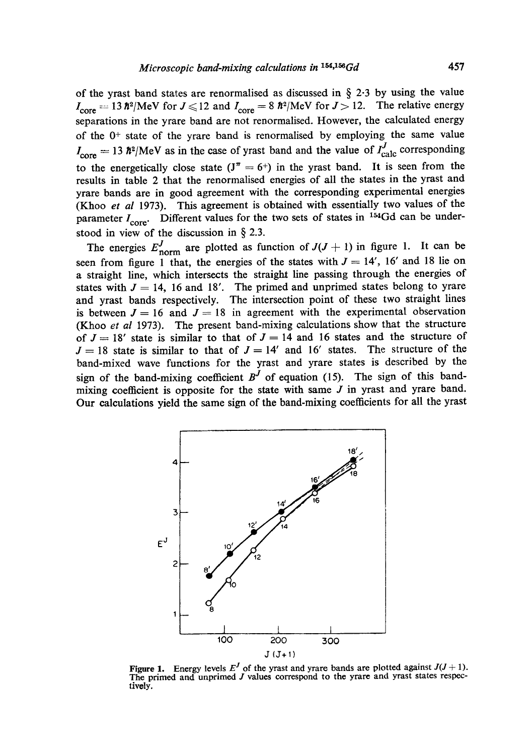of the yrast band states are renormalised as discussed in  $\S$  2.3 by using the value  $I_{\text{core}} = 13 \hbar^2/\text{MeV}$  for  $J \leq 12$  and  $I_{\text{core}} = 8 \hbar^2/\text{MeV}$  for  $J > 12$ . The relative energy separations in the yrare band are not renormalised. However, the calculated energy of the  $0$ <sup>+</sup> state of the yrare band is renormalised by employing the same value  $I_{\text{core}} = 13 \hbar^2/\text{MeV}$  as in the case of yrast band and the value of  $I_{\text{calc}}^J$  corresponding to the energetically close state  $(J^{\pi} = 6^{+})$  in the yrast band. It is seen from the results in table 2 that the renormalised energies of all the states in the yrast and yrare bands are in good agreement with the corresponding experimental energies (Khoo *et al* 1973). This agreement is obtained with essentially two values of the parameter  $I_{\text{core}}$ . Different values for the two sets of states in <sup>154</sup>Gd can be understood in view of the discussion in § 2.3.

The energies  $E_{\text{norm}}^J$  are plotted as function of  $J(J + 1)$  in figure 1. It can be seen from figure 1 that, the energies of the states with  $J = 14'$ , 16' and 18 lie on a straight line, which intersects the straigkt line passing through the energies of states with  $J = 14$ , 16 and 18'. The primed and unprimed states belong to yrare and yrast bands respectively. The intersection point of these two straight lines is between  $J = 16$  and  $J = 18$  in agreement with the experimental observation (Khoo *et al* 1973). The present band-mixing calculations show that the structure of  $J = 18'$  state is similar to that of  $J = 14$  and 16 states and the structure of  $J = 18$  state is similar to that of  $J = 14'$  and 16' states. The structure of the band-mixed wave functions for the yrast and yrare states is described by the sign of the band-mixing coefficient  $B<sup>J</sup>$  of equation (15). The sign of this bandmixing coefficient is opposite for the state with same J in yrast and yrare band. Our calculations yield the same sign of the band-mixing coefficients for all the yrast



Figure 1. Energy levels  $E<sup>J</sup>$  of the yrast and yrare bands are plotted against  $J(J+1)$ .<br>The primed and unprimed J values correspond to the yrare and yrast states respectively,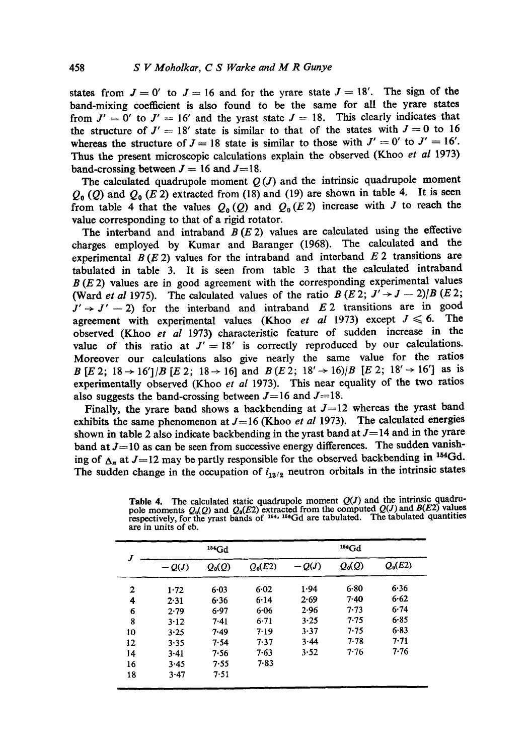states from  $J=0'$  to  $J=16$  and for the yrare state  $J=18'$ . The sign of the band-mixing coetficient is also found to be the same for all the yrare states from  $J' = 0'$  to  $J' = 16'$  and the yrast state  $J = 18$ . This clearly indicates that the structure of  $J' = 18'$  state is similar to that of the states with  $J = 0$  to 16 whereas the structure of  $J = 18$  state is similar to those with  $J' = 0'$  to  $J' = 16'$ . Thus the present microscopic calculations explain the observed (Khoo *et al* 1973) band-crossing between  $J = 16$  and  $J = 18$ .

The calculated quadrupole moment  $Q(J)$  and the intrinsic quadrupole moment  $Q_0$  (Q) and  $Q_0$  (E 2) extracted from (18) and (19) are shown in table 4. It is seen from table 4 that the values  $Q_0(Q)$  and  $Q_0(E_2)$  increase with J to reach the value corresponding to that of a rigid rotator.

The interband and intraband  $B(E 2)$  values are calculated using the effective charges employed by Kumar and Baranger (1968). The calculated and the experimental  $B(E_2)$  values for the intraband and interband  $E_2$  transitions are tabulated in table 3. It is seen from table 3 that the calculated intraband  $B(E 2)$  values are in good agreement with the corresponding experimental values (Ward *et al* 1975). The calculated values of the ratio  $B(E\ 2; J' \rightarrow J - 2)/B(E\ 2;$  $J' \rightarrow J' - 2$ ) for the interband and intraband E 2 transitions are in good agreement with experimental values (Khoo *et al 1973)* except  $J \le 6$ . The observed (Khoo et al 1973) characteristic feature of sudden increase in the value of this ratio at  $J' = 18'$  is correctly reproduced by our calculations. Moreover our calculations also give nearly the same value for the ratios B [E 2; 18  $\rightarrow$  16']/B [E 2; 18  $\rightarrow$  16] and B (E 2; 18'  $\rightarrow$  16)/B [E 2; 18'  $\rightarrow$  16'] as is experimentally observed (Khoo *et al* 1973). This near equality of the two ratios also suggests the band-crossing between  $J= 16$  and  $J= 18$ .

Finally, the yrare band shows a backbending at  $J=12$  whereas the yrast band exhibits the same phenomenon at  $J=16$  (Khoo *et al 1973)*. The calculated energies shown in table 2 also indicate backbending in the yrast band at  $J=14$  and in the yrare band at  $J=10$  as can be seen from successive energy differences. The sudden vanishing of  $\Delta_n$  at  $J=12$  may be partly responsible for the observed backbending in <sup>154</sup>Gd. The sudden change in the occupation of  $i_{13/2}$  neutron orbitals in the intrinsic states

|                  |         | 154Gd    |           | $156$ Gd |          |           |  |
|------------------|---------|----------|-----------|----------|----------|-----------|--|
| $\boldsymbol{J}$ | $-Q(J)$ | $Q_0(Q)$ | $Q_0(E2)$ | $-Q(J)$  | $Q_0(Q)$ | $Q_0(E2)$ |  |
| 2                | 1.72    | 6.03     | 6.02      | 1.94     | 6.80     | 6.36      |  |
| 4                | 2.31    | 6.36     | 6.14      | 2.69     | $7-40$   | $6 - 62$  |  |
| 6                | 2.79    | 6.97     | 6.06      | 2.96     | 7.73     | 6.74      |  |
| 8                | 3.12    | 7.41     | 6.71      | 3.25     | 7.75     | $6 - 85$  |  |
| 10               | 3.25    | 7.49     | 7.19      | 3.37     | 7.75     | 6.83      |  |
| 12               | 3.35    | 7.54     | 7.37      | 3.44     | 7.78     | 7.71      |  |
| 14               | 3.41    | 7.56     | 7.63      | 3.52     | 7.76     | 7.76      |  |
| 16               | 3.45    | 7.55     | $7 - 83$  |          |          |           |  |
| 18               | 3.47    | 7.51     |           |          |          |           |  |

Table 4. The calculated static quadrupole moment *Q(J)* and the intrinsic quadrupole moments  $Q_0(Q)$  and  $Q_0(E2)$  extracted from the computed  $Q(J)$  and  $B(E2)$  values respectively, for the yrast bands of  $154$ ,  $159$ Gd are tabulated. The tabulated quantities are in units of eb.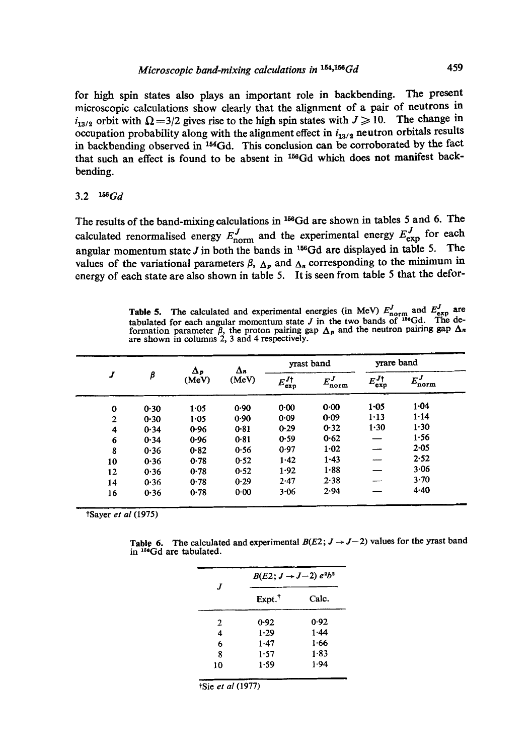for high spin states also plays an important role in backbending. The present microscopic calculations show clearly that the alignment of a pair of neutrons in  $i_{13/2}$  orbit with  $\Omega = 3/2$  gives rise to the high spin states with  $J \ge 10$ . The change in occupation probability along with the alignment effect in  $i_{13/2}$  neutron orbitals results in backbending observed in <sup>154</sup>Gd. This conclusion can be corroborated by the fact that such an effect is found to be absent in <sup>156</sup>Gd which does not manifest backbending.

## 3.2 *aSaGd*

The results of the band-mixing calculations in <sup>156</sup>Gd are shown in tables 5 and 6. The calculated renormalised energy  $E_{\text{norm}}^J$  and the experimental energy  $E_{\text{exp}}^J$  for each angular momentum state  $J$  in both the bands in <sup>156</sup>Gd are displayed in table 5. The values of the variational parameters  $\beta$ ,  $\Delta_p$  and  $\Delta_n$  corresponding to the minimum in energy of each state are also shown in table 5. It is seen from table 5 that the defor-

Table 5. The calculated and experimental energies (in MeV)  $E_{\text{norm}}$  and  $E_{\text{exp}}$  are tabulated for each angular momentum state  $J$  in the two bands of  $^{156}$ Gd. The deformation parameter  $\beta$ , the proton pairing gap  $\Delta_p$  and the neutron pairing gap  $\Delta_n$ are shown in columns 2, 3 and 4 respectively.

|                    |      |       | $\Delta n$<br>Δр<br>(MeV) | yrast band                  |                  | yrare band               |                  |
|--------------------|------|-------|---------------------------|-----------------------------|------------------|--------------------------|------------------|
| J                  | β    | (MeV) |                           | $E_{\text{exp}}^{J\dagger}$ | $E_{\rm norm}^J$ | $E^{J\dagger}_{\rm exp}$ | $E_{\rm norm}^J$ |
| $\bf{0}$           | 0.30 | 1.05  | 0.90                      | 0.00                        | 0.00             | $1 - 05$                 | 1.04             |
| $\mathbf{2}$       | 0.30 | 1.05  | 0.90                      | 0.09                        | 0.09             | $1 - 13$                 | 1.14             |
| $\overline{\bf 4}$ | 0.34 | 0.96  | 0.81                      | 0.29                        | 0.32             | 1.30                     | $1 - 30$         |
| 6                  | 0.34 | 0.96  | 0.81                      | 0.59                        | 0.62             |                          | 1.56             |
| 8                  | 0.36 | 0.82  | 0.56                      | 0.97                        | 1.02             |                          | 2.05             |
| 10                 | 0.36 | 0.78  | 0.52                      | 1.42                        | 1.43             |                          | 2.52             |
| 12                 | 0.36 | 0.78  | 0.52                      | 1.92                        | 1.88             |                          | 3.06             |
| 14                 | 0.36 | 0.78  | 0.29                      | 2.47                        | 2.38             |                          | 3.70             |
| 16                 | 0.36 | 0.78  | $0 - 00$                  | 3.06                        | 2.94             |                          | $4 - 40$         |

tSayer *et al* (1975)

Table 6. The calculated and experimental  $B(E2; J \rightarrow J-2)$  values for the yrast band in  $^{156}$ Gd are tabulated.

| $\boldsymbol{I}$ | $B(E2; J \rightarrow J-2) e^{2}b^{2}$ |          |  |  |  |
|------------------|---------------------------------------|----------|--|--|--|
|                  | Expt. <sup>†</sup>                    | Calc.    |  |  |  |
| $\mathbf{2}$     | 0.92                                  | 0.92     |  |  |  |
| 4                | $1 - 29$                              | 1.44     |  |  |  |
| 6                | 1.47                                  | 1.66     |  |  |  |
| 8                | 1.57                                  | $1 - 83$ |  |  |  |
| 10               | 1.59                                  | 1.94     |  |  |  |
|                  |                                       |          |  |  |  |

tSie *et al* (1977)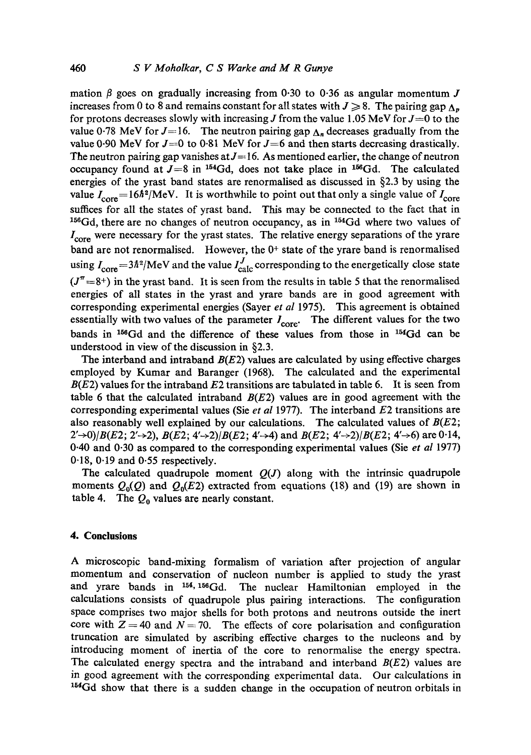mation  $\beta$  goes on gradually increasing from 0.30 to 0.36 as angular momentum J increases from 0 to 8 and remains constant for all states with  $J \ge 8$ . The pairing gap  $\Lambda_n$ for protons decreases slowly with increasing J from the value 1.05 MeV for  $J=0$  to the value 0.78 MeV for  $J=16$ . The neutron pairing gap  $\Delta_n$  decreases gradually from the value 0.90 MeV for  $J=0$  to 0.81 MeV for  $J=6$  and then starts decreasing drastically. The neutron pairing gap vanishes at  $J=16$ . As mentioned earlier, the change of neutron occupancy found at  $J=8$  in <sup>154</sup>Gd, does not take place in <sup>156</sup>Gd. The calculated energies of the yrast band states are renormalised as discussed in §2.3 by using the value  $I_{\text{core}} = 16\hbar^2/\text{MeV}$ . It is worthwhile to point out that only a single value of  $I_{\text{core}}$ suffices for all the states of yrast band. This may be connected to the fact that in  $156Gd$ , there are no changes of neutron occupancy, as in  $154Gd$  where two values of  $I_{\text{core}}$  were necessary for the yrast states. The relative energy separations of the yrare band are not renormalised. However, the  $0^+$  state of the yrare band is renormalised using  $I_{\text{core}} = 3\hbar^2/\text{MeV}$  and the value  $I_{\text{calc}}^J$  corresponding to the energetically close state  $(J^{\pi} = 8^{+})$  in the yrast band. It is seen from the results in table 5 that the renormalised energies of all states in the yrast and yrare bands are in good agreement with corresponding experimental energies (Sayer *et al* 1975). This agreement is obtained essentially with two values of the parameter  $I_{\text{core}}$ . The different values for the two bands in  $^{156}Gd$  and the difference of these values from those in  $^{154}Gd$  can be understood in view of the discussion in §2.3.

The interband and intraband  $B(E2)$  values are calculated by using effective charges employed by Kumar and Baranger (1968). The calculated and the experimental  $B(E2)$  values for the intraband E2 transitions are tabulated in table 6. It is seen from table 6 that the calculated intraband  $B(E2)$  values are in good agreement with the corresponding experimental values (Sie *et al* 1977). The interband E2 transitions are also reasonably well explained by our calculations. The calculated values of  $B(E2)$ ;  $2' \rightarrow 0$ )/B(E2; 2' $\rightarrow 2$ ), B(E2; 4' $\rightarrow 2$ )/B(E2; 4' $\rightarrow$ 4) and B(E2; 4' $\rightarrow 2$ )/B(E2; 4' $\rightarrow$ 6) are 0.14, 0-40 and 0-30 as compared to the corresponding experimental values (Sie *et al* 1977) 0.18, 0.19 and 0.55 respectively.

The calculated quadrupole moment  $Q(J)$  along with the intrinsic quadrupole moments  $Q_0(Q)$  and  $Q_0(E2)$  extracted from equations (18) and (19) are shown in table 4. The  $Q_0$  values are nearly constant.

## **4. Conclusions**

A microscopic band-mixing formalism of variation after projection of angular momentum and conservation of nucleon number is applied to study the yrast and yrare bands in  $154, 156$  Gd. The nuclear Hamiltonian employed in the calculations consists of quadrupole plus pairing interactions. The configuration space comprises two major shells for both protons and neutrons outside the inert core with  $Z = 40$  and  $N = 70$ . The effects of core polarisation and configuration truncation are simulated by ascribing effective charges to the nucleons and by introducing moment of inertia of the core to renormalise the energy spectra. The calculated energy spectra and the intraband and interband  $B(E2)$  values are in good agreement with the corresponding experimental data. Our calculations in  $154$ Gd show that there is a sudden change in the occupation of neutron orbitals in